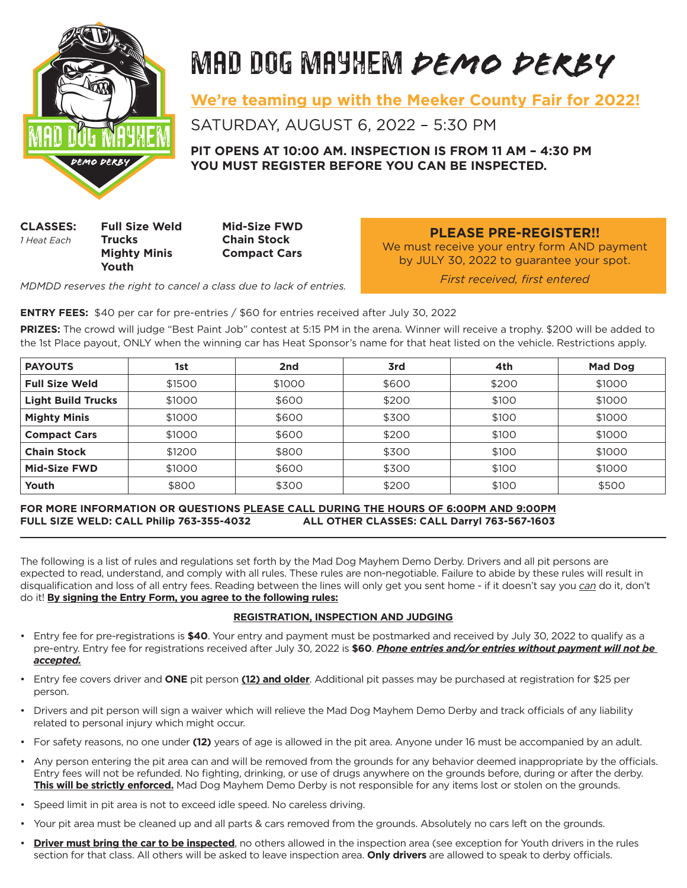

# MAD DOG MAYHEM *DEMO DERBY*

**We're teaming up with the Meeker County Fair for 2022!**

SATURDAY, AUGUST 6, 2022 – 5:30 PM

**PIT OPENS AT 10:00 AM. INSPECTION IS FROM 11 AM – 4:30 PM YOU MUST REGISTER BEFORE YOU CAN BE INSPECTED.**

**CLASSES: Full Size Weld Mid-Size FWD** *1 Heat Each* **Trucks Chain Stock Mighty Minis Compact Cars Youth**

**PLEASE PRE-REGISTER!!**

We must receive your entry form AND payment by JULY 30, 2022 to guarantee your spot.

*MDMDD reserves the right to cancel a class due to lack of entries.*

*First received, first entered*

**ENTRY FEES:** \$40 per car for pre-entries / \$60 for entries received after July 30, 2022

**PRIZES:** The crowd will judge "Best Paint Job" contest at 5:15 PM in the arena. Winner will receive a trophy. \$200 will be added to the 1st Place payout, ONLY when the winning car has Heat Sponsor's name for that heat listed on the vehicle. Restrictions apply.

| <b>PAYOUTS</b>            | 1st    | 2nd    | 3rd   | 4th   | <b>Mad Dog</b> |
|---------------------------|--------|--------|-------|-------|----------------|
| <b>Full Size Weld</b>     | \$1500 | \$1000 | \$600 | \$200 | \$1000         |
| <b>Light Build Trucks</b> | \$1000 | \$600  | \$200 | \$100 | \$1000         |
| <b>Mighty Minis</b>       | \$1000 | \$600  | \$300 | \$100 | \$1000         |
| <b>Compact Cars</b>       | \$1000 | \$600  | \$200 | \$100 | \$1000         |
| <b>Chain Stock</b>        | \$1200 | \$800  | \$300 | \$100 | \$1000         |
| <b>Mid-Size FWD</b>       | \$1000 | \$600  | \$300 | \$100 | \$1000         |
| Youth                     | \$800  | \$300  | \$200 | \$100 | \$500          |

# **FOR MORE INFORMATION OR QUESTIONS PLEASE CALL DURING THE HOURS OF 6:00PM AND 9:00PM FULL SIZE WELD: CALL Philip 763-355-4032 ALL OTHER CLASSES: CALL Darryl 763-567-1603**

The following is a list of rules and regulations set forth by the Mad Dog Mayhem Demo Derby. Drivers and all pit persons are expected to read, understand, and comply with all rules. These rules are non-negotiable. Failure to abide by these rules will result in disqualification and loss of all entry fees. Reading between the lines will only get you sent home - if it doesn't say you *can* do it, don't do it! **By signing the Entry Form, you agree to the following rules:**

# **REGISTRATION, INSPECTION AND JUDGING**

- Entry fee for pre-registrations is **\$40**. Your entry and payment must be postmarked and received by July 30, 2022 to qualify as a pre-entry. Entry fee for registrations received after July 30, 2022 is **\$60**. *Phone entries and/or entries without payment will not be accepted.*
- Entry fee covers driver and **ONE** pit person **(12) and older**. Additional pit passes may be purchased at registration for \$25 per person.
- Drivers and pit person will sign a waiver which will relieve the Mad Dog Mayhem Demo Derby and track officials of any liability related to personal injury which might occur.
- For safety reasons, no one under **(12)** years of age is allowed in the pit area. Anyone under 16 must be accompanied by an adult.
- Any person entering the pit area can and will be removed from the grounds for any behavior deemed inappropriate by the officials. Entry fees will not be refunded. No fighting, drinking, or use of drugs anywhere on the grounds before, during or after the derby. **This will be strictly enforced.** Mad Dog Mayhem Demo Derby is not responsible for any items lost or stolen on the grounds.
- Speed limit in pit area is not to exceed idle speed. No careless driving.
- Your pit area must be cleaned up and all parts & cars removed from the grounds. Absolutely no cars left on the grounds.
- **Driver must bring the car to be inspected**, no others allowed in the inspection area (see exception for Youth drivers in the rules section for that class. All others will be asked to leave inspection area. **Only drivers** are allowed to speak to derby officials.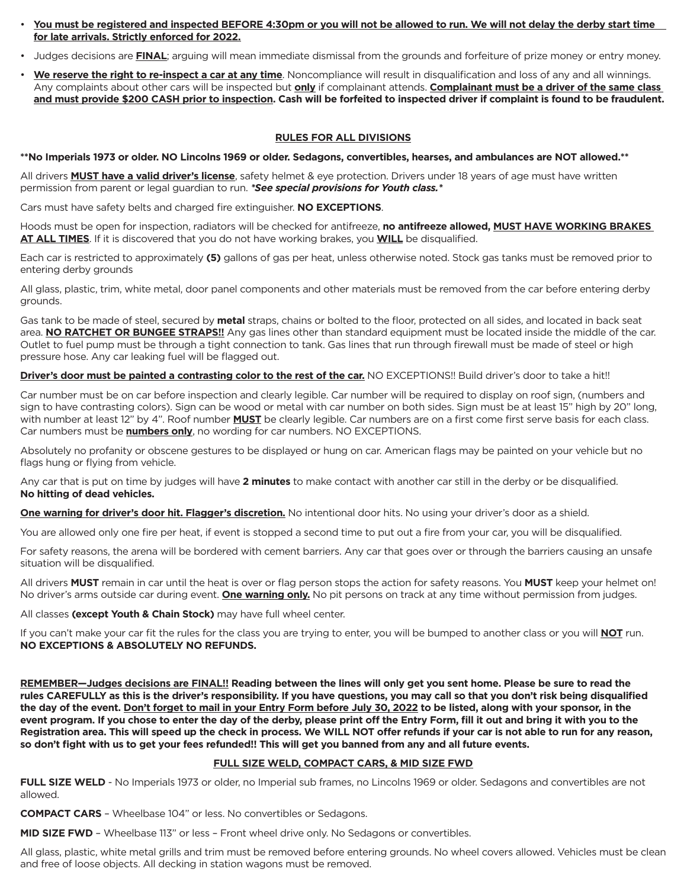- **You must be registered and inspected BEFORE 4:30pm or you will not be allowed to run. We will not delay the derby start time for late arrivals. Strictly enforced for 2022.**
- Judges decisions are **FINAL**; arguing will mean immediate dismissal from the grounds and forfeiture of prize money or entry money.
- **We reserve the right to re-inspect a car at any time**. Noncompliance will result in disqualification and loss of any and all winnings. Any complaints about other cars will be inspected but **only** if complainant attends. **Complainant must be a driver of the same class and must provide \$200 CASH prior to inspection. Cash will be forfeited to inspected driver if complaint is found to be fraudulent.**

# **RULES FOR ALL DIVISIONS**

**\*\*No Imperials 1973 or older. NO Lincolns 1969 or older. Sedagons, convertibles, hearses, and ambulances are NOT allowed.\*\***

All drivers **MUST have a valid driver's license**, safety helmet & eye protection. Drivers under 18 years of age must have written permission from parent or legal guardian to run. *\*See special provisions for Youth class.\**

Cars must have safety belts and charged fire extinguisher. **NO EXCEPTIONS**.

Hoods must be open for inspection, radiators will be checked for antifreeze, **no antifreeze allowed, MUST HAVE WORKING BRAKES AT ALL TIMES**. If it is discovered that you do not have working brakes, you **WILL** be disqualified.

Each car is restricted to approximately **(5)** gallons of gas per heat, unless otherwise noted. Stock gas tanks must be removed prior to entering derby grounds

All glass, plastic, trim, white metal, door panel components and other materials must be removed from the car before entering derby grounds.

Gas tank to be made of steel, secured by **metal** straps, chains or bolted to the floor, protected on all sides, and located in back seat area. **NO RATCHET OR BUNGEE STRAPS!!** Any gas lines other than standard equipment must be located inside the middle of the car. Outlet to fuel pump must be through a tight connection to tank. Gas lines that run through firewall must be made of steel or high pressure hose. Any car leaking fuel will be flagged out.

**Driver's door must be painted a contrasting color to the rest of the car.** NO EXCEPTIONS!! Build driver's door to take a hit!!

Car number must be on car before inspection and clearly legible. Car number will be required to display on roof sign, (numbers and sign to have contrasting colors). Sign can be wood or metal with car number on both sides. Sign must be at least 15" high by 20" long, with number at least 12" by 4". Roof number **MUST** be clearly legible. Car numbers are on a first come first serve basis for each class. Car numbers must be **numbers only**, no wording for car numbers. NO EXCEPTIONS.

Absolutely no profanity or obscene gestures to be displayed or hung on car. American flags may be painted on your vehicle but no flags hung or flying from vehicle.

Any car that is put on time by judges will have **2 minutes** to make contact with another car still in the derby or be disqualified. **No hitting of dead vehicles.**

**One warning for driver's door hit. Flagger's discretion.** No intentional door hits. No using your driver's door as a shield.

You are allowed only one fire per heat, if event is stopped a second time to put out a fire from your car, you will be disqualified.

For safety reasons, the arena will be bordered with cement barriers. Any car that goes over or through the barriers causing an unsafe situation will be disqualified.

All drivers **MUST** remain in car until the heat is over or flag person stops the action for safety reasons. You **MUST** keep your helmet on! No driver's arms outside car during event. **One warning only.** No pit persons on track at any time without permission from judges.

All classes **(except Youth & Chain Stock)** may have full wheel center.

If you can't make your car fit the rules for the class you are trying to enter, you will be bumped to another class or you will **NOT** run. **NO EXCEPTIONS & ABSOLUTELY NO REFUNDS.**

**REMEMBER—Judges decisions are FINAL!! Reading between the lines will only get you sent home. Please be sure to read the rules CAREFULLY as this is the driver's responsibility. If you have questions, you may call so that you don't risk being disqualified the day of the event. Don't forget to mail in your Entry Form before July 30, 2022 to be listed, along with your sponsor, in the event program. If you chose to enter the day of the derby, please print off the Entry Form, fill it out and bring it with you to the Registration area. This will speed up the check in process. We WILL NOT offer refunds if your car is not able to run for any reason, so don't fight with us to get your fees refunded!! This will get you banned from any and all future events.**

#### **FULL SIZE WELD, COMPACT CARS, & MID SIZE FWD**

FULL SIZE WELD - No Imperials 1973 or older, no Imperial sub frames, no Lincolns 1969 or older. Sedagons and convertibles are not allowed.

**COMPACT CARS** – Wheelbase 104" or less. No convertibles or Sedagons.

**MID SIZE FWD** – Wheelbase 113" or less – Front wheel drive only. No Sedagons or convertibles.

All glass, plastic, white metal grills and trim must be removed before entering grounds. No wheel covers allowed. Vehicles must be clean and free of loose objects. All decking in station wagons must be removed.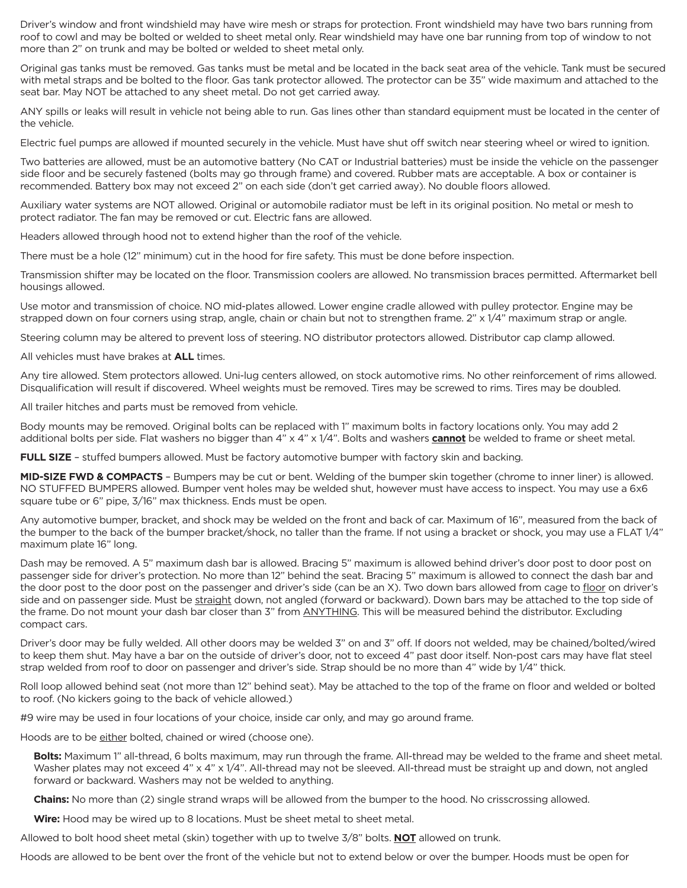Driver's window and front windshield may have wire mesh or straps for protection. Front windshield may have two bars running from roof to cowl and may be bolted or welded to sheet metal only. Rear windshield may have one bar running from top of window to not more than 2" on trunk and may be bolted or welded to sheet metal only.

Original gas tanks must be removed. Gas tanks must be metal and be located in the back seat area of the vehicle. Tank must be secured with metal straps and be bolted to the floor. Gas tank protector allowed. The protector can be 35" wide maximum and attached to the seat bar. May NOT be attached to any sheet metal. Do not get carried away.

ANY spills or leaks will result in vehicle not being able to run. Gas lines other than standard equipment must be located in the center of the vehicle.

Electric fuel pumps are allowed if mounted securely in the vehicle. Must have shut off switch near steering wheel or wired to ignition.

Two batteries are allowed, must be an automotive battery (No CAT or Industrial batteries) must be inside the vehicle on the passenger side floor and be securely fastened (bolts may go through frame) and covered. Rubber mats are acceptable. A box or container is recommended. Battery box may not exceed 2" on each side (don't get carried away). No double floors allowed.

Auxiliary water systems are NOT allowed. Original or automobile radiator must be left in its original position. No metal or mesh to protect radiator. The fan may be removed or cut. Electric fans are allowed.

Headers allowed through hood not to extend higher than the roof of the vehicle.

There must be a hole (12" minimum) cut in the hood for fire safety. This must be done before inspection.

Transmission shifter may be located on the floor. Transmission coolers are allowed. No transmission braces permitted. Aftermarket bell housings allowed.

Use motor and transmission of choice. NO mid-plates allowed. Lower engine cradle allowed with pulley protector. Engine may be strapped down on four corners using strap, angle, chain or chain but not to strengthen frame. 2" x 1/4" maximum strap or angle.

Steering column may be altered to prevent loss of steering. NO distributor protectors allowed. Distributor cap clamp allowed.

All vehicles must have brakes at **ALL** times.

Any tire allowed. Stem protectors allowed. Uni-lug centers allowed, on stock automotive rims. No other reinforcement of rims allowed. Disqualification will result if discovered. Wheel weights must be removed. Tires may be screwed to rims. Tires may be doubled.

All trailer hitches and parts must be removed from vehicle.

Body mounts may be removed. Original bolts can be replaced with 1" maximum bolts in factory locations only. You may add 2 additional bolts per side. Flat washers no bigger than 4" x 4" x 1/4". Bolts and washers **cannot** be welded to frame or sheet metal.

**FULL SIZE** – stuffed bumpers allowed. Must be factory automotive bumper with factory skin and backing.

**MID-SIZE FWD & COMPACTS** – Bumpers may be cut or bent. Welding of the bumper skin together (chrome to inner liner) is allowed. NO STUFFED BUMPERS allowed. Bumper vent holes may be welded shut, however must have access to inspect. You may use a 6x6 square tube or 6" pipe, 3/16" max thickness. Ends must be open.

Any automotive bumper, bracket, and shock may be welded on the front and back of car. Maximum of 16", measured from the back of the bumper to the back of the bumper bracket/shock, no taller than the frame. If not using a bracket or shock, you may use a FLAT 1/4" maximum plate 16" long.

Dash may be removed. A 5" maximum dash bar is allowed. Bracing 5" maximum is allowed behind driver's door post to door post on passenger side for driver's protection. No more than 12" behind the seat. Bracing 5" maximum is allowed to connect the dash bar and the door post to the door post on the passenger and driver's side (can be an X). Two down bars allowed from cage to floor on driver's side and on passenger side. Must be straight down, not angled (forward or backward). Down bars may be attached to the top side of the frame. Do not mount your dash bar closer than 3" from ANYTHING. This will be measured behind the distributor. Excluding compact cars.

Driver's door may be fully welded. All other doors may be welded 3" on and 3" off. If doors not welded, may be chained/bolted/wired to keep them shut. May have a bar on the outside of driver's door, not to exceed 4" past door itself. Non-post cars may have flat steel strap welded from roof to door on passenger and driver's side. Strap should be no more than 4" wide by 1/4" thick.

Roll loop allowed behind seat (not more than 12" behind seat). May be attached to the top of the frame on floor and welded or bolted to roof. (No kickers going to the back of vehicle allowed.)

#9 wire may be used in four locations of your choice, inside car only, and may go around frame.

Hoods are to be either bolted, chained or wired (choose one).

**Bolts:** Maximum 1" all-thread, 6 bolts maximum, may run through the frame. All-thread may be welded to the frame and sheet metal. Washer plates may not exceed 4" x 4" x 1/4". All-thread may not be sleeved. All-thread must be straight up and down, not angled forward or backward. Washers may not be welded to anything.

**Chains:** No more than (2) single strand wraps will be allowed from the bumper to the hood. No crisscrossing allowed.

**Wire:** Hood may be wired up to 8 locations. Must be sheet metal to sheet metal.

Allowed to bolt hood sheet metal (skin) together with up to twelve 3/8" bolts. **NOT** allowed on trunk.

Hoods are allowed to be bent over the front of the vehicle but not to extend below or over the bumper. Hoods must be open for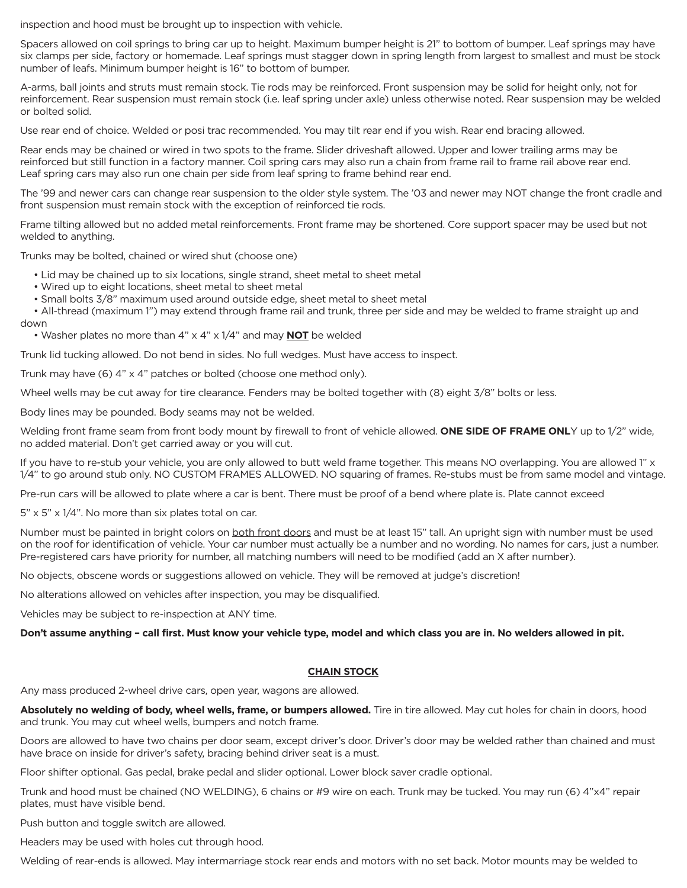inspection and hood must be brought up to inspection with vehicle.

Spacers allowed on coil springs to bring car up to height. Maximum bumper height is 21" to bottom of bumper. Leaf springs may have six clamps per side, factory or homemade. Leaf springs must stagger down in spring length from largest to smallest and must be stock number of leafs. Minimum bumper height is 16" to bottom of bumper.

A-arms, ball joints and struts must remain stock. Tie rods may be reinforced. Front suspension may be solid for height only, not for reinforcement. Rear suspension must remain stock (i.e. leaf spring under axle) unless otherwise noted. Rear suspension may be welded or bolted solid.

Use rear end of choice. Welded or posi trac recommended. You may tilt rear end if you wish. Rear end bracing allowed.

Rear ends may be chained or wired in two spots to the frame. Slider driveshaft allowed. Upper and lower trailing arms may be reinforced but still function in a factory manner. Coil spring cars may also run a chain from frame rail to frame rail above rear end. Leaf spring cars may also run one chain per side from leaf spring to frame behind rear end.

The '99 and newer cars can change rear suspension to the older style system. The '03 and newer may NOT change the front cradle and front suspension must remain stock with the exception of reinforced tie rods.

Frame tilting allowed but no added metal reinforcements. Front frame may be shortened. Core support spacer may be used but not welded to anything.

Trunks may be bolted, chained or wired shut (choose one)

- Lid may be chained up to six locations, single strand, sheet metal to sheet metal
- Wired up to eight locations, sheet metal to sheet metal
- Small bolts 3/8" maximum used around outside edge, sheet metal to sheet metal

• All-thread (maximum 1") may extend through frame rail and trunk, three per side and may be welded to frame straight up and down

• Washer plates no more than 4" x 4" x 1/4" and may **NOT** be welded

Trunk lid tucking allowed. Do not bend in sides. No full wedges. Must have access to inspect.

Trunk may have (6) 4" x 4" patches or bolted (choose one method only).

Wheel wells may be cut away for tire clearance. Fenders may be bolted together with (8) eight 3/8" bolts or less.

Body lines may be pounded. Body seams may not be welded.

Welding front frame seam from front body mount by firewall to front of vehicle allowed. **ONE SIDE OF FRAME ONL**Y up to 1/2" wide, no added material. Don't get carried away or you will cut.

If you have to re-stub your vehicle, you are only allowed to butt weld frame together. This means NO overlapping. You are allowed 1" x 1/4" to go around stub only. NO CUSTOM FRAMES ALLOWED. NO squaring of frames. Re-stubs must be from same model and vintage.

Pre-run cars will be allowed to plate where a car is bent. There must be proof of a bend where plate is. Plate cannot exceed

5" x 5" x 1/4". No more than six plates total on car.

Number must be painted in bright colors on both front doors and must be at least 15" tall. An upright sign with number must be used on the roof for identification of vehicle. Your car number must actually be a number and no wording. No names for cars, just a number. Pre-registered cars have priority for number, all matching numbers will need to be modified (add an X after number).

No objects, obscene words or suggestions allowed on vehicle. They will be removed at judge's discretion!

No alterations allowed on vehicles after inspection, you may be disqualified.

Vehicles may be subject to re-inspection at ANY time.

**Don't assume anything – call first. Must know your vehicle type, model and which class you are in. No welders allowed in pit.**

# **CHAIN STOCK**

Any mass produced 2-wheel drive cars, open year, wagons are allowed.

**Absolutely no welding of body, wheel wells, frame, or bumpers allowed.** Tire in tire allowed. May cut holes for chain in doors, hood and trunk. You may cut wheel wells, bumpers and notch frame.

Doors are allowed to have two chains per door seam, except driver's door. Driver's door may be welded rather than chained and must have brace on inside for driver's safety, bracing behind driver seat is a must.

Floor shifter optional. Gas pedal, brake pedal and slider optional. Lower block saver cradle optional.

Trunk and hood must be chained (NO WELDING), 6 chains or #9 wire on each. Trunk may be tucked. You may run (6) 4"x4" repair plates, must have visible bend.

Push button and toggle switch are allowed.

Headers may be used with holes cut through hood.

Welding of rear-ends is allowed. May intermarriage stock rear ends and motors with no set back. Motor mounts may be welded to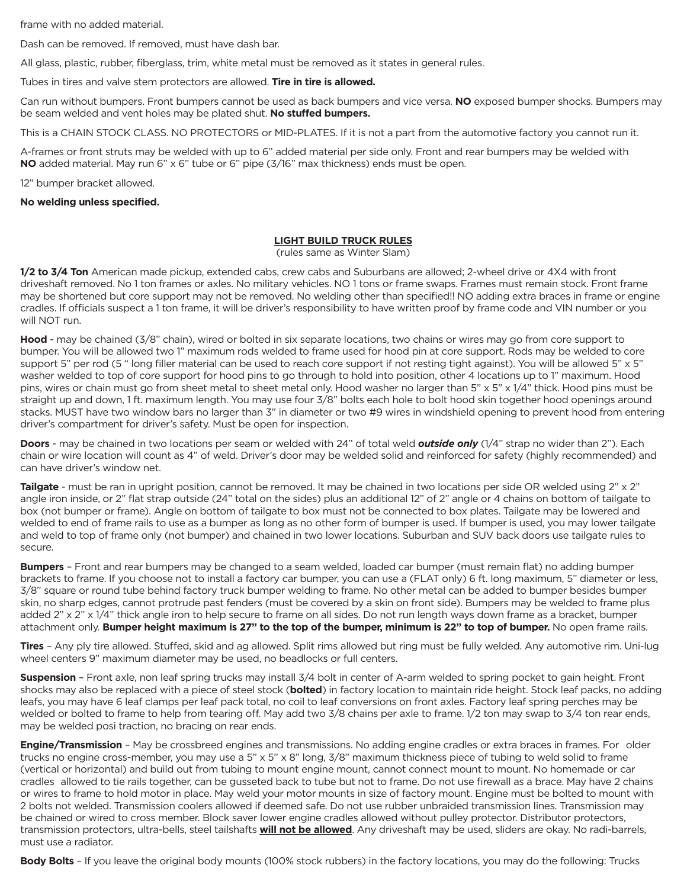frame with no added material.

Dash can be removed. If removed, must have dash bar.

All glass, plastic, rubber, fiberglass, trim, white metal must be removed as it states in general rules.

Tubes in tires and valve stem protectors are allowed. **Tire in tire is allowed.**

Can run without bumpers. Front bumpers cannot be used as back bumpers and vice versa. **NO** exposed bumper shocks. Bumpers may be seam welded and vent holes may be plated shut. **No stuffed bumpers.** 

This is a CHAIN STOCK CLASS. NO PROTECTORS or MID-PLATES. If it is not a part from the automotive factory you cannot run it.

A-frames or front struts may be welded with up to 6" added material per side only. Front and rear bumpers may be welded with **NO** added material. May run 6" x 6" tube or 6" pipe (3/16" max thickness) ends must be open.

12" bumper bracket allowed.

**No welding unless specified.**

#### **LIGHT BUILD TRUCK RULES**

(rules same as Winter Slam)

**1/2 to 3/4 Ton** American made pickup, extended cabs, crew cabs and Suburbans are allowed; 2-wheel drive or 4X4 with front driveshaft removed. No 1 ton frames or axles. No military vehicles. NO 1 tons or frame swaps. Frames must remain stock. Front frame may be shortened but core support may not be removed. No welding other than specified!! NO adding extra braces in frame or engine cradles. If officials suspect a 1 ton frame, it will be driver's responsibility to have written proof by frame code and VIN number or you will NOT run.

**Hood** - may be chained (3/8" chain), wired or bolted in six separate locations, two chains or wires may go from core support to bumper. You will be allowed two 1" maximum rods welded to frame used for hood pin at core support. Rods may be welded to core support 5" per rod (5 " long filler material can be used to reach core support if not resting tight against). You will be allowed 5" x 5" washer welded to top of core support for hood pins to go through to hold into position, other 4 locations up to 1" maximum. Hood pins, wires or chain must go from sheet metal to sheet metal only. Hood washer no larger than 5" x 5" x 1/4" thick. Hood pins must be straight up and down, 1 ft. maximum length. You may use four 3/8" bolts each hole to bolt hood skin together hood openings around stacks. MUST have two window bars no larger than 3" in diameter or two #9 wires in windshield opening to prevent hood from entering driver's compartment for driver's safety. Must be open for inspection.

**Doors** - may be chained in two locations per seam or welded with 24" of total weld *outside only* (1/4" strap no wider than 2"). Each chain or wire location will count as 4" of weld. Driver's door may be welded solid and reinforced for safety (highly recommended) and can have driver's window net.

**Tailgate** - must be ran in upright position, cannot be removed. It may be chained in two locations per side OR welded using 2" x 2" angle iron inside, or 2" flat strap outside (24" total on the sides) plus an additional 12" of 2" angle or 4 chains on bottom of tailgate to box (not bumper or frame). Angle on bottom of tailgate to box must not be connected to box plates. Tailgate may be lowered and welded to end of frame rails to use as a bumper as long as no other form of bumper is used. If bumper is used, you may lower tailgate and weld to top of frame only (not bumper) and chained in two lower locations. Suburban and SUV back doors use tailgate rules to secure.

**Bumpers** – Front and rear bumpers may be changed to a seam welded, loaded car bumper (must remain flat) no adding bumper brackets to frame. If you choose not to install a factory car bumper, you can use a (FLAT only) 6 ft. long maximum, 5" diameter or less, 3/8" square or round tube behind factory truck bumper welding to frame. No other metal can be added to bumper besides bumper skin, no sharp edges, cannot protrude past fenders (must be covered by a skin on front side). Bumpers may be welded to frame plus added 2" x 2" x 1/4" thick angle iron to help secure to frame on all sides. Do not run length ways down frame as a bracket, bumper attachment only. **Bumper height maximum is 27" to the top of the bumper, minimum is 22" to top of bumper.** No open frame rails.

**Tires** – Any ply tire allowed. Stuffed, skid and ag allowed. Split rims allowed but ring must be fully welded. Any automotive rim. Uni-lug wheel centers 9" maximum diameter may be used, no beadlocks or full centers.

**Suspension** – Front axle, non leaf spring trucks may install 3/4 bolt in center of A-arm welded to spring pocket to gain height. Front shocks may also be replaced with a piece of steel stock (**bolted**) in factory location to maintain ride height. Stock leaf packs, no adding leafs, you may have 6 leaf clamps per leaf pack total, no coil to leaf conversions on front axles. Factory leaf spring perches may be welded or bolted to frame to help from tearing off. May add two 3/8 chains per axle to frame. 1/2 ton may swap to 3/4 ton rear ends, may be welded posi traction, no bracing on rear ends.

**Engine/Transmission** – May be crossbreed engines and transmissions. No adding engine cradles or extra braces in frames. For older trucks no engine cross-member, you may use a 5" x 5" x 8" long, 3/8" maximum thickness piece of tubing to weld solid to frame (vertical or horizontal) and build out from tubing to mount engine mount, cannot connect mount to mount. No homemade or car cradles allowed to tie rails together, can be gusseted back to tube but not to frame. Do not use firewall as a brace. May have 2 chains or wires to frame to hold motor in place. May weld your motor mounts in size of factory mount. Engine must be bolted to mount with 2 bolts not welded. Transmission coolers allowed if deemed safe. Do not use rubber unbraided transmission lines. Transmission may be chained or wired to cross member. Block saver lower engine cradles allowed without pulley protector. Distributor protectors, transmission protectors, ultra-bells, steel tailshafts **will not be allowed**. Any driveshaft may be used, sliders are okay. No radi-barrels, must use a radiator.

**Body Bolts** – If you leave the original body mounts (100% stock rubbers) in the factory locations, you may do the following: Trucks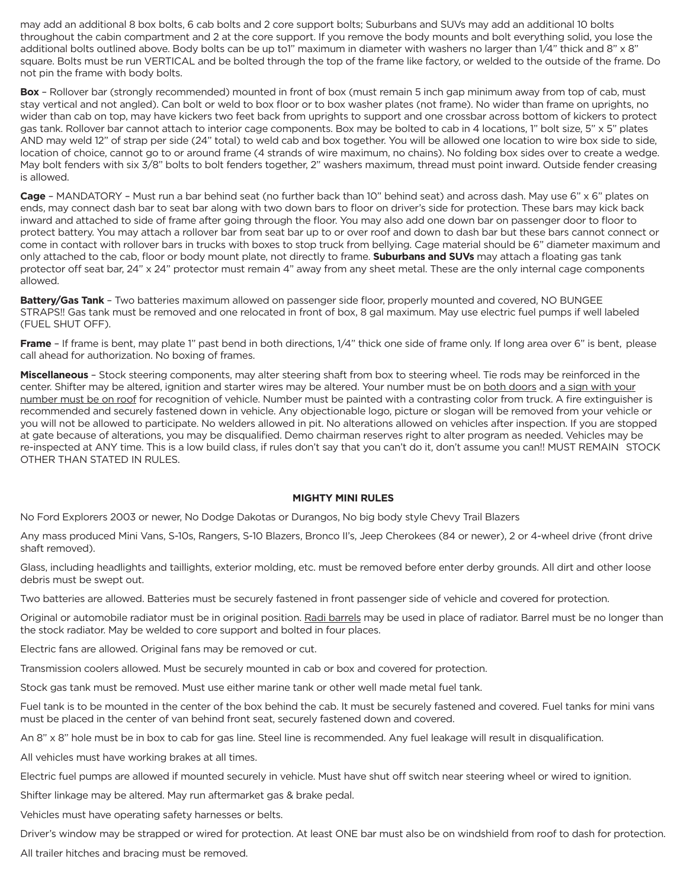may add an additional 8 box bolts, 6 cab bolts and 2 core support bolts; Suburbans and SUVs may add an additional 10 bolts throughout the cabin compartment and 2 at the core support. If you remove the body mounts and bolt everything solid, you lose the additional bolts outlined above. Body bolts can be up to1" maximum in diameter with washers no larger than 1/4" thick and 8" x 8" square. Bolts must be run VERTICAL and be bolted through the top of the frame like factory, or welded to the outside of the frame. Do not pin the frame with body bolts.

**Box** – Rollover bar (strongly recommended) mounted in front of box (must remain 5 inch gap minimum away from top of cab, must stay vertical and not angled). Can bolt or weld to box floor or to box washer plates (not frame). No wider than frame on uprights, no wider than cab on top, may have kickers two feet back from uprights to support and one crossbar across bottom of kickers to protect gas tank. Rollover bar cannot attach to interior cage components. Box may be bolted to cab in 4 locations, 1" bolt size, 5" x 5" plates AND may weld 12" of strap per side (24" total) to weld cab and box together. You will be allowed one location to wire box side to side, location of choice, cannot go to or around frame (4 strands of wire maximum, no chains). No folding box sides over to create a wedge. May bolt fenders with six 3/8" bolts to bolt fenders together, 2" washers maximum, thread must point inward. Outside fender creasing is allowed.

**Cage** – MANDATORY – Must run a bar behind seat (no further back than 10" behind seat) and across dash. May use 6" x 6" plates on ends, may connect dash bar to seat bar along with two down bars to floor on driver's side for protection. These bars may kick back inward and attached to side of frame after going through the floor. You may also add one down bar on passenger door to floor to protect battery. You may attach a rollover bar from seat bar up to or over roof and down to dash bar but these bars cannot connect or come in contact with rollover bars in trucks with boxes to stop truck from bellying. Cage material should be 6" diameter maximum and only attached to the cab, floor or body mount plate, not directly to frame. **Suburbans and SUVs** may attach a floating gas tank protector off seat bar, 24" x 24" protector must remain 4" away from any sheet metal. These are the only internal cage components allowed.

**Battery/Gas Tank** – Two batteries maximum allowed on passenger side floor, properly mounted and covered, NO BUNGEE STRAPS!! Gas tank must be removed and one relocated in front of box, 8 gal maximum. May use electric fuel pumps if well labeled (FUEL SHUT OFF).

**Frame** – If frame is bent, may plate 1" past bend in both directions, 1/4" thick one side of frame only. If long area over 6" is bent, please call ahead for authorization. No boxing of frames.

**Miscellaneous** – Stock steering components, may alter steering shaft from box to steering wheel. Tie rods may be reinforced in the center. Shifter may be altered, ignition and starter wires may be altered. Your number must be on both doors and a sign with your number must be on roof for recognition of vehicle. Number must be painted with a contrasting color from truck. A fire extinguisher is recommended and securely fastened down in vehicle. Any objectionable logo, picture or slogan will be removed from your vehicle or you will not be allowed to participate. No welders allowed in pit. No alterations allowed on vehicles after inspection. If you are stopped at gate because of alterations, you may be disqualified. Demo chairman reserves right to alter program as needed. Vehicles may be re-inspected at ANY time. This is a low build class, if rules don't say that you can't do it, don't assume you can!! MUST REMAIN STOCK OTHER THAN STATED IN RULES.

#### **MIGHTY MINI RULES**

No Ford Explorers 2003 or newer, No Dodge Dakotas or Durangos, No big body style Chevy Trail Blazers

Any mass produced Mini Vans, S-10s, Rangers, S-10 Blazers, Bronco II's, Jeep Cherokees (84 or newer), 2 or 4-wheel drive (front drive shaft removed).

Glass, including headlights and taillights, exterior molding, etc. must be removed before enter derby grounds. All dirt and other loose debris must be swept out.

Two batteries are allowed. Batteries must be securely fastened in front passenger side of vehicle and covered for protection.

Original or automobile radiator must be in original position. Radi barrels may be used in place of radiator. Barrel must be no longer than the stock radiator. May be welded to core support and bolted in four places.

Electric fans are allowed. Original fans may be removed or cut.

Transmission coolers allowed. Must be securely mounted in cab or box and covered for protection.

Stock gas tank must be removed. Must use either marine tank or other well made metal fuel tank.

Fuel tank is to be mounted in the center of the box behind the cab. It must be securely fastened and covered. Fuel tanks for mini vans must be placed in the center of van behind front seat, securely fastened down and covered.

An 8" x 8" hole must be in box to cab for gas line. Steel line is recommended. Any fuel leakage will result in disqualification.

All vehicles must have working brakes at all times.

Electric fuel pumps are allowed if mounted securely in vehicle. Must have shut off switch near steering wheel or wired to ignition.

Shifter linkage may be altered. May run aftermarket gas & brake pedal.

Vehicles must have operating safety harnesses or belts.

Driver's window may be strapped or wired for protection. At least ONE bar must also be on windshield from roof to dash for protection.

All trailer hitches and bracing must be removed.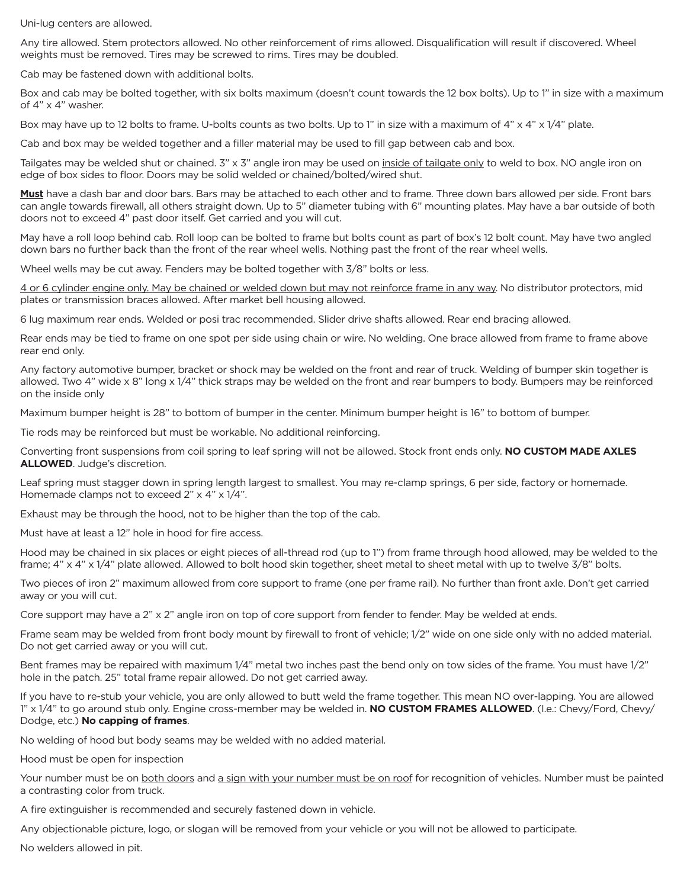Uni-lug centers are allowed.

Any tire allowed. Stem protectors allowed. No other reinforcement of rims allowed. Disqualification will result if discovered. Wheel weights must be removed. Tires may be screwed to rims. Tires may be doubled.

Cab may be fastened down with additional bolts.

Box and cab may be bolted together, with six bolts maximum (doesn't count towards the 12 box bolts). Up to 1" in size with a maximum of 4" x 4" washer.

Box may have up to 12 bolts to frame. U-bolts counts as two bolts. Up to 1" in size with a maximum of 4" x 4" x 1/4" plate.

Cab and box may be welded together and a filler material may be used to fill gap between cab and box.

Tailgates may be welded shut or chained. 3" x 3" angle iron may be used on inside of tailgate only to weld to box. NO angle iron on edge of box sides to floor. Doors may be solid welded or chained/bolted/wired shut.

**Must** have a dash bar and door bars. Bars may be attached to each other and to frame. Three down bars allowed per side. Front bars can angle towards firewall, all others straight down. Up to 5" diameter tubing with 6" mounting plates. May have a bar outside of both doors not to exceed 4" past door itself. Get carried and you will cut.

May have a roll loop behind cab. Roll loop can be bolted to frame but bolts count as part of box's 12 bolt count. May have two angled down bars no further back than the front of the rear wheel wells. Nothing past the front of the rear wheel wells.

Wheel wells may be cut away. Fenders may be bolted together with 3/8" bolts or less.

4 or 6 cylinder engine only. May be chained or welded down but may not reinforce frame in any way. No distributor protectors, mid plates or transmission braces allowed. After market bell housing allowed.

6 lug maximum rear ends. Welded or posi trac recommended. Slider drive shafts allowed. Rear end bracing allowed.

Rear ends may be tied to frame on one spot per side using chain or wire. No welding. One brace allowed from frame to frame above rear end only.

Any factory automotive bumper, bracket or shock may be welded on the front and rear of truck. Welding of bumper skin together is allowed. Two 4" wide x 8" long x 1/4" thick straps may be welded on the front and rear bumpers to body. Bumpers may be reinforced on the inside only

Maximum bumper height is 28" to bottom of bumper in the center. Minimum bumper height is 16" to bottom of bumper.

Tie rods may be reinforced but must be workable. No additional reinforcing.

Converting front suspensions from coil spring to leaf spring will not be allowed. Stock front ends only. **NO CUSTOM MADE AXLES ALLOWED**. Judge's discretion.

Leaf spring must stagger down in spring length largest to smallest. You may re-clamp springs, 6 per side, factory or homemade. Homemade clamps not to exceed 2" x 4" x 1/4".

Exhaust may be through the hood, not to be higher than the top of the cab.

Must have at least a 12" hole in hood for fire access.

Hood may be chained in six places or eight pieces of all-thread rod (up to 1") from frame through hood allowed, may be welded to the frame; 4" x 4" x 1/4" plate allowed. Allowed to bolt hood skin together, sheet metal to sheet metal with up to twelve 3/8" bolts.

Two pieces of iron 2" maximum allowed from core support to frame (one per frame rail). No further than front axle. Don't get carried away or you will cut.

Core support may have a 2" x 2" angle iron on top of core support from fender to fender. May be welded at ends.

Frame seam may be welded from front body mount by firewall to front of vehicle; 1/2" wide on one side only with no added material. Do not get carried away or you will cut.

Bent frames may be repaired with maximum 1/4" metal two inches past the bend only on tow sides of the frame. You must have 1/2" hole in the patch. 25" total frame repair allowed. Do not get carried away.

If you have to re-stub your vehicle, you are only allowed to butt weld the frame together. This mean NO over-lapping. You are allowed 1" x 1/4" to go around stub only. Engine cross-member may be welded in. **NO CUSTOM FRAMES ALLOWED**. (I.e.: Chevy/Ford, Chevy/ Dodge, etc.) **No capping of frames**.

No welding of hood but body seams may be welded with no added material.

Hood must be open for inspection

Your number must be on both doors and a sign with your number must be on roof for recognition of vehicles. Number must be painted a contrasting color from truck.

A fire extinguisher is recommended and securely fastened down in vehicle.

Any objectionable picture, logo, or slogan will be removed from your vehicle or you will not be allowed to participate.

No welders allowed in pit.